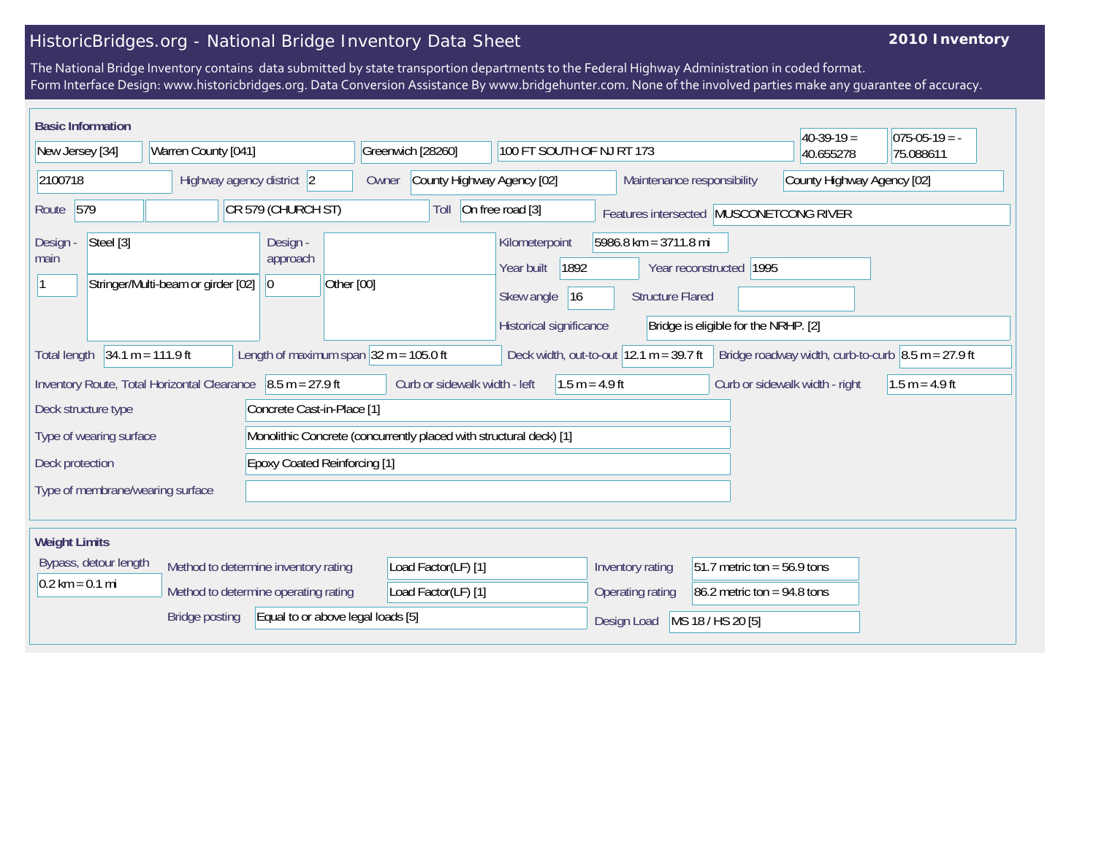## HistoricBridges.org - National Bridge Inventory Data Sheet

## **2010 Inventory**

The National Bridge Inventory contains data submitted by state transportion departments to the Federal Highway Administration in coded format. Form Interface Design: www.historicbridges.org. Data Conversion Assistance By www.bridgehunter.com. None of the involved parties make any guarantee of accuracy.

| <b>Basic Information</b><br>$40-39-19=$<br>$075-05-19 = -$                                                                                                                                                                                     |  |                           |  |                                                                     |                     |                                     |                  |                                                                                                                                                                                                             |  |                                |                  |                                                          |  |  |
|------------------------------------------------------------------------------------------------------------------------------------------------------------------------------------------------------------------------------------------------|--|---------------------------|--|---------------------------------------------------------------------|---------------------|-------------------------------------|------------------|-------------------------------------------------------------------------------------------------------------------------------------------------------------------------------------------------------------|--|--------------------------------|------------------|----------------------------------------------------------|--|--|
| New Jersey [34]                                                                                                                                                                                                                                |  | Warren County [041]       |  |                                                                     |                     | Greenwich [28260]                   |                  | 100 FT SOUTH OF NJ RT 173                                                                                                                                                                                   |  |                                | 40.655278        | 75.088611                                                |  |  |
| 2100718                                                                                                                                                                                                                                        |  | Highway agency district 2 |  |                                                                     |                     | County Highway Agency [02]<br>Owner |                  |                                                                                                                                                                                                             |  |                                |                  | County Highway Agency [02]<br>Maintenance responsibility |  |  |
| 579<br>CR 579 (CHURCH ST)<br>Route                                                                                                                                                                                                             |  |                           |  | On free road [3]<br>Toll<br>Features intersected MUSCONETCONG RIVER |                     |                                     |                  |                                                                                                                                                                                                             |  |                                |                  |                                                          |  |  |
| Steel [3]<br>Design -<br>main<br>Stringer/Multi-beam or girder [02]                                                                                                                                                                            |  |                           |  | Design -<br>approach<br> 0                                          | Other [00]          |                                     |                  | 5986.8 km = 3711.8 mi<br>Kilometerpoint<br>1892<br>Year reconstructed 1995<br>Year built<br>Skew angle<br> 16<br><b>Structure Flared</b><br>Historical significance<br>Bridge is eligible for the NRHP. [2] |  |                                |                  |                                                          |  |  |
| Deck width, out-to-out $ 12.1 \text{ m} = 39.7 \text{ ft} $ Bridge roadway width, curb-to-curb $ 8.5 \text{ m} = 27.9 \text{ ft} $<br>$34.1 m = 111.9 ft$<br>Length of maximum span $ 32 \text{ m} = 105.0 \text{ ft} $<br><b>Total length</b> |  |                           |  |                                                                     |                     |                                     |                  |                                                                                                                                                                                                             |  |                                |                  |                                                          |  |  |
| $8.5 m = 27.9 ft$<br>Inventory Route, Total Horizontal Clearance                                                                                                                                                                               |  |                           |  | Curb or sidewalk width - left<br>$1.5 m = 4.9 ft$                   |                     |                                     |                  |                                                                                                                                                                                                             |  | Curb or sidewalk width - right | $1.5 m = 4.9 ft$ |                                                          |  |  |
| Deck structure type<br>Concrete Cast-in-Place [1]                                                                                                                                                                                              |  |                           |  |                                                                     |                     |                                     |                  |                                                                                                                                                                                                             |  |                                |                  |                                                          |  |  |
| Type of wearing surface                                                                                                                                                                                                                        |  |                           |  | Monolithic Concrete (concurrently placed with structural deck) [1]  |                     |                                     |                  |                                                                                                                                                                                                             |  |                                |                  |                                                          |  |  |
| <b>Epoxy Coated Reinforcing [1]</b><br>Deck protection                                                                                                                                                                                         |  |                           |  |                                                                     |                     |                                     |                  |                                                                                                                                                                                                             |  |                                |                  |                                                          |  |  |
| Type of membrane/wearing surface                                                                                                                                                                                                               |  |                           |  |                                                                     |                     |                                     |                  |                                                                                                                                                                                                             |  |                                |                  |                                                          |  |  |
| <b>Weight Limits</b>                                                                                                                                                                                                                           |  |                           |  |                                                                     |                     |                                     |                  |                                                                                                                                                                                                             |  |                                |                  |                                                          |  |  |
| Bypass, detour length<br>Method to determine inventory rating<br>$0.2$ km = 0.1 mi<br>Method to determine operating rating                                                                                                                     |  |                           |  |                                                                     |                     | Load Factor(LF) [1]                 |                  |                                                                                                                                                                                                             |  | Inventory rating               |                  | 51.7 metric ton = $56.9$ tons                            |  |  |
|                                                                                                                                                                                                                                                |  |                           |  |                                                                     | Load Factor(LF) [1] |                                     | Operating rating |                                                                                                                                                                                                             |  | 86.2 metric ton = $94.8$ tons  |                  |                                                          |  |  |
| Equal to or above legal loads [5]<br><b>Bridge posting</b>                                                                                                                                                                                     |  |                           |  |                                                                     |                     |                                     |                  | MS 18 / HS 20 [5]<br>Design Load                                                                                                                                                                            |  |                                |                  |                                                          |  |  |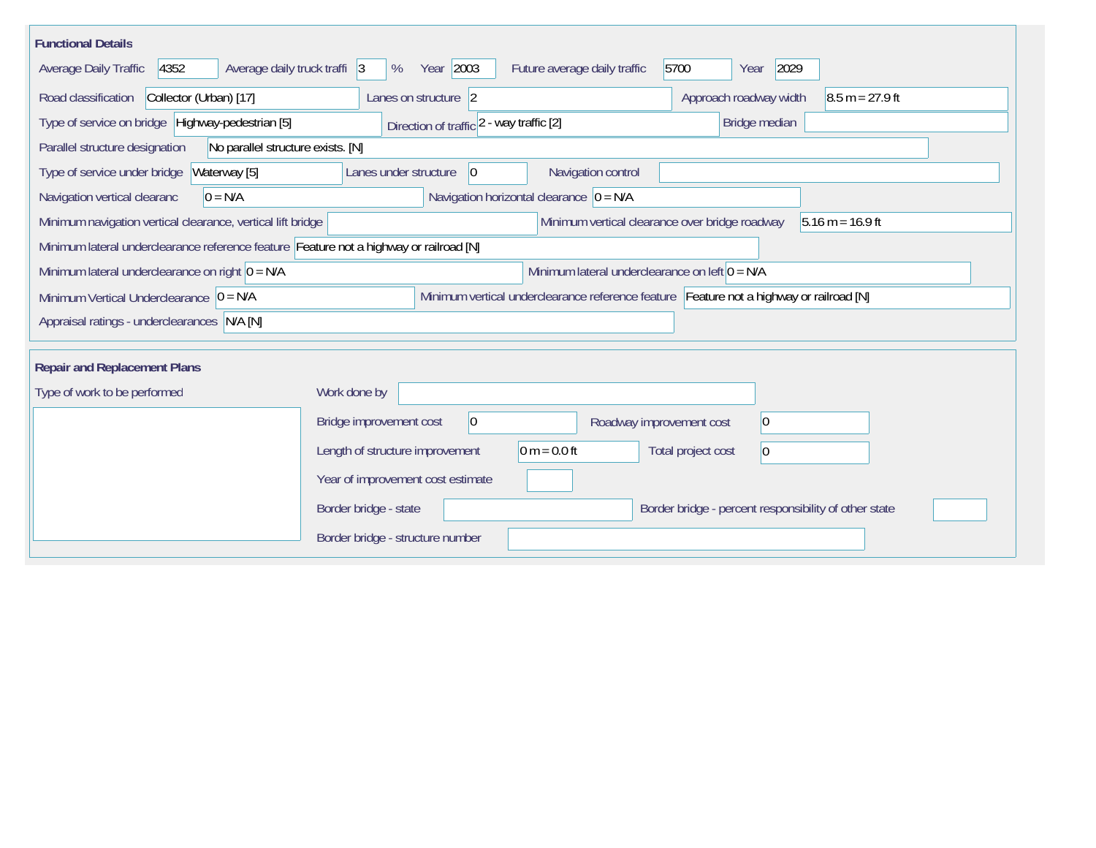| <b>Functional Details</b>                                                                                                           |                                                                                         |  |  |  |  |  |  |  |
|-------------------------------------------------------------------------------------------------------------------------------------|-----------------------------------------------------------------------------------------|--|--|--|--|--|--|--|
| 4352<br>Average daily truck traffi 3<br>Average Daily Traffic                                                                       | Year 2003<br>5700<br>2029<br>Future average daily traffic<br>%<br>Year                  |  |  |  |  |  |  |  |
| Road classification<br>Collector (Urban) [17]                                                                                       | Approach roadway width<br>Lanes on structure 2<br>$8.5 m = 27.9 ft$                     |  |  |  |  |  |  |  |
| Type of service on bridge Highway-pedestrian [5]                                                                                    | Bridge median<br>Direction of traffic 2 - way traffic [2]                               |  |  |  |  |  |  |  |
| Parallel structure designation<br>No parallel structure exists. [N]                                                                 |                                                                                         |  |  |  |  |  |  |  |
| Waterway [5]<br>Type of service under bridge                                                                                        | Navigation control<br>Lanes under structure<br> 0                                       |  |  |  |  |  |  |  |
| $0 = N/A$<br>Navigation vertical clearanc                                                                                           | Navigation horizontal clearance $ 0 = N/A$                                              |  |  |  |  |  |  |  |
| Minimum navigation vertical clearance, vertical lift bridge<br>Minimum vertical clearance over bridge roadway<br>$5.16 m = 16.9 ft$ |                                                                                         |  |  |  |  |  |  |  |
| Minimum lateral underclearance reference feature Feature not a highway or railroad [N]                                              |                                                                                         |  |  |  |  |  |  |  |
| Minimum lateral underclearance on right $0 = N/A$                                                                                   | Minimum lateral underclearance on left $0 = N/A$                                        |  |  |  |  |  |  |  |
| Minimum Vertical Underclearance $ 0 = N/A$                                                                                          | Minimum vertical underclearance reference feature Feature not a highway or railroad [N] |  |  |  |  |  |  |  |
| Appraisal ratings - underclearances N/A [N]                                                                                         |                                                                                         |  |  |  |  |  |  |  |
|                                                                                                                                     |                                                                                         |  |  |  |  |  |  |  |
| <b>Repair and Replacement Plans</b>                                                                                                 |                                                                                         |  |  |  |  |  |  |  |
| Type of work to be performed                                                                                                        | Work done by                                                                            |  |  |  |  |  |  |  |
|                                                                                                                                     | $\overline{0}$<br>Bridge improvement cost<br>$ 0\rangle$<br>Roadway improvement cost    |  |  |  |  |  |  |  |
|                                                                                                                                     | $0 m = 0.0 ft$<br>Length of structure improvement<br>Total project cost<br>$ 0\rangle$  |  |  |  |  |  |  |  |
|                                                                                                                                     | Year of improvement cost estimate                                                       |  |  |  |  |  |  |  |
|                                                                                                                                     | Border bridge - state<br>Border bridge - percent responsibility of other state          |  |  |  |  |  |  |  |
|                                                                                                                                     | Border bridge - structure number                                                        |  |  |  |  |  |  |  |